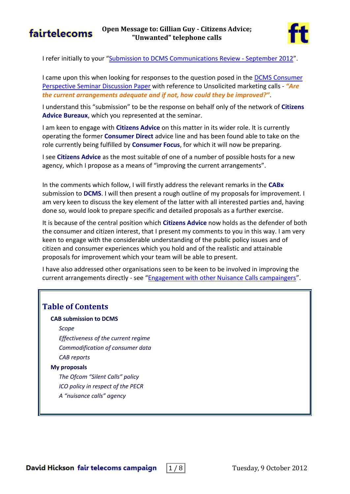

I refer initially to your "[Submission to DCMS Communications Review -](http://www.citizensadvice.org.uk/dcms_unwanted_communications.pdf) September 2012".

I came upon this when looking for responses to the question posed in the [DCMS Consumer](http://dcmscommsreview.readandcomment.com/wp-content/uploads/2012/06/seminar1_consumers_paper_alt.pdf#page=6)  [Perspective Seminar Discussion Paper](http://dcmscommsreview.readandcomment.com/wp-content/uploads/2012/06/seminar1_consumers_paper_alt.pdf#page=6) with reference to Unsolicited marketing calls - *"Are the current arrangements adequate and if not, how could they be improved?"*.

I understand this "submission" to be the response on behalf only of the network of **Citizens Advice Bureaux**, which you represented at the seminar.

I am keen to engage with **Citizens Advice** on this matter in its wider role. It is currently operating the former **Consumer Direct** advice line and has been found able to take on the role currently being fulfilled by **Consumer Focus**, for which it will now be preparing.

I see **Citizens Advice** as the most suitable of one of a number of possible hosts for a new agency, which I propose as a means of "improving the current arrangements".

In the comments which follow, I will firstly address the relevant remarks in the **CABx** submission to **DCMS**. I will then present a rough outline of my proposals for improvement. I am very keen to discuss the key element of the latter with all interested parties and, having done so, would look to prepare specific and detailed proposals as a further exercise.

It is because of the central position which **Citizens Advice** now holds as the defender of both the consumer and citizen interest, that I present my comments to you in this way. I am very keen to engage with the considerable understanding of the public policy issues and of citizen and consumer experiences which you hold and of the realistic and attainable proposals for improvement which your team will be able to present.

I have also addressed other organisations seen to be keen to be involved in improving the current arrangements directly - see "[Engagement with other Nuisance Calls campaingers](http://www.fairtelecoms.org.uk/uploads/1/1/4/5/11456053/nuisance_calls_-_other_campaigners.pdf)".

## **Table of Contents**

### **[CAB submission to DCMS](#page-1-0)**

*[Scope](#page-1-1)*

*[Effectiveness of the current regime](#page-1-2) [Commodification of consumer data](#page-2-0) [CAB reports](#page-2-1)*

### **[My proposals](#page-3-0)**

*[The Ofcom "Silent Calls" policy](#page-3-1) [ICO policy in respect of the PECR](#page-5-0) [A "nuisance calls" agency](#page-6-0)*

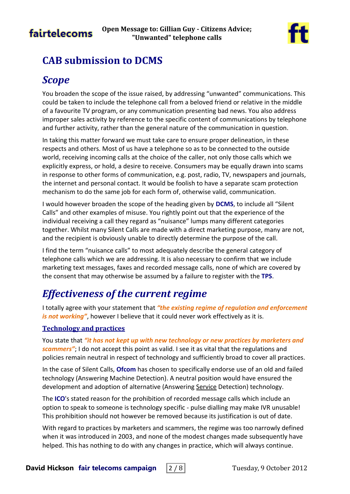



# <span id="page-1-0"></span>**CAB submission to DCMS**

# <span id="page-1-1"></span>*Scope*

You broaden the scope of the issue raised, by addressing "unwanted" communications. This could be taken to include the telephone call from a beloved friend or relative in the middle of a favourite TV program, or any communication presenting bad news. You also address improper sales activity by reference to the specific content of communications by telephone and further activity, rather than the general nature of the communication in question.

In taking this matter forward we must take care to ensure proper delineation, in these respects and others. Most of us have a telephone so as to be connected to the outside world, receiving incoming calls at the choice of the caller, not only those calls which we explicitly express, or hold, a desire to receive. Consumers may be equally drawn into scams in response to other forms of communication, e.g. post, radio, TV, newspapers and journals, the internet and personal contact. It would be foolish to have a separate scam protection mechanism to do the same job for each form of, otherwise valid, communication.

I would however broaden the scope of the heading given by **DCMS**, to include all "Silent Calls" and other examples of misuse. You rightly point out that the experience of the individual receiving a call they regard as "nuisance" lumps many different categories together. Whilst many Silent Calls are made with a direct marketing purpose, many are not, and the recipient is obviously unable to directly determine the purpose of the call.

I find the term "nuisance calls" to most adequately describe the general category of telephone calls which we are addressing. It is also necessary to confirm that we include marketing text messages, faxes and recorded message calls, none of which are covered by the consent that may otherwise be assumed by a failure to register with the **TPS**.

# <span id="page-1-2"></span>*Effectiveness of the current regime*

I totally agree with your statement that *"the existing regime of regulation and enforcement is not working"*, however I believe that it could never work effectively as it is.

## **Technology and practices**

You state that *"it has not kept up with new technology or new practices by marketers and scammers"*; I do not accept this point as valid. I see it as vital that the regulations and policies remain neutral in respect of technology and sufficiently broad to cover all practices.

In the case of Silent Calls, **Ofcom** has chosen to specifically endorse use of an old and failed technology (Answering Machine Detection). A neutral position would have ensured the development and adoption of alternative (Answering Service Detection) technology.

The **ICO**'s stated reason for the prohibition of recorded message calls which include an option to speak to someone is technology specific - pulse dialling may make IVR unusable! This prohibition should not however be removed because its justification is out of date.

With regard to practices by marketers and scammers, the regime was too narrowly defined when it was introduced in 2003, and none of the modest changes made subsequently have helped. This has nothing to do with any changes in practice, which will always continue.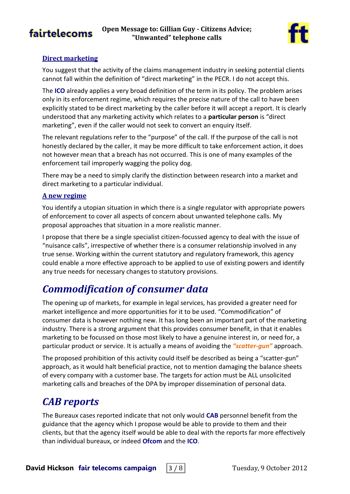



### **Direct marketing**

You suggest that the activity of the claims management industry in seeking potential clients cannot fall within the definition of "direct marketing" in the PECR. I do not accept this.

The **ICO** already applies a very broad definition of the term in its policy. The problem arises only in its enforcement regime, which requires the precise nature of the call to have been explicitly stated to be direct marketing by the caller before it will accept a report. It is clearly understood that any marketing activity which relates to a **particular person** is "direct marketing", even if the caller would not seek to convert an enquiry itself.

The relevant regulations refer to the "purpose" of the call. If the purpose of the call is not honestly declared by the caller, it may be more difficult to take enforcement action, it does not however mean that a breach has not occurred. This is one of many examples of the enforcement tail improperly wagging the policy dog.

There may be a need to simply clarify the distinction between research into a market and direct marketing to a particular individual.

#### **A new regime**

You identify a utopian situation in which there is a single regulator with appropriate powers of enforcement to cover all aspects of concern about unwanted telephone calls. My proposal approaches that situation in a more realistic manner.

I propose that there be a single specialist citizen-focussed agency to deal with the issue of "nuisance calls", irrespective of whether there is a consumer relationship involved in any true sense. Working within the current statutory and regulatory framework, this agency could enable a more effective approach to be applied to use of existing powers and identify any true needs for necessary changes to statutory provisions.

## <span id="page-2-0"></span>*Commodification of consumer data*

The opening up of markets, for example in legal services, has provided a greater need for market intelligence and more opportunities for it to be used. "Commodification" of consumer data is however nothing new. It has long been an important part of the marketing industry. There is a strong argument that this provides consumer benefit, in that it enables marketing to be focussed on those most likely to have a genuine interest in, or need for, a particular product or service. It is actually a means of avoiding the *"scatter-gun"* approach.

The proposed prohibition of this activity could itself be described as being a "scatter-gun" approach, as it would halt beneficial practice, not to mention damaging the balance sheets of every company with a customer base. The targets for action must be ALL unsolicited marketing calls and breaches of the DPA by improper dissemination of personal data.

## <span id="page-2-1"></span>*CAB reports*

The Bureaux cases reported indicate that not only would **CAB** personnel benefit from the guidance that the agency which I propose would be able to provide to them and their clients, but that the agency itself would be able to deal with the reports far more effectively than individual bureaux, or indeed **Ofcom** and the **ICO**.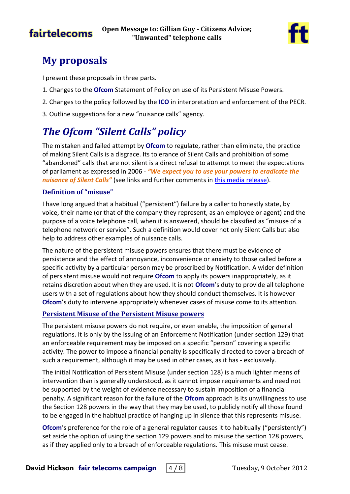

# <span id="page-3-0"></span>**My proposals**

I present these proposals in three parts.

- 1. Changes to the **Ofcom** Statement of Policy on use of its Persistent Misuse Powers.
- 2. Changes to the policy followed by the **ICO** in interpretation and enforcement of the PECR.
- 3. Outline suggestions for a new "nuisance calls" agency.

# <span id="page-3-1"></span>*The Ofcom "Silent Calls" policy*

The mistaken and failed attempt by **Ofcom** to regulate, rather than eliminate, the practice of making Silent Calls is a disgrace. Its tolerance of Silent Calls and prohibition of some "abandoned" calls that are not silent is a direct refusal to attempt to meet the expectations of parliament as expressed in 2006 - *"We expect you to use your powers to eradicate the nuisance of Silent Calls"* (see links and further comments in *this media release*).

### **Definition of "misuse"**

I have long argued that a habitual ("persistent") failure by a caller to honestly state, by voice, their name (or that of the company they represent, as an employee or agent) and the purpose of a voice telephone call, when it is answered, should be classified as "misuse of a telephone network or service". Such a definition would cover not only Silent Calls but also help to address other examples of nuisance calls.

The nature of the persistent misuse powers ensures that there must be evidence of persistence and the effect of annoyance, inconvenience or anxiety to those called before a specific activity by a particular person may be proscribed by Notification. A wider definition of persistent misuse would not require **Ofcom** to apply its powers inappropriately, as it retains discretion about when they are used. It is not **Ofcom**'s duty to provide all telephone users with a set of regulations about how they should conduct themselves. It is however **Ofcom**'s duty to intervene appropriately whenever cases of misuse come to its attention.

### **Persistent Misuse of the Persistent Misuse powers**

The persistent misuse powers do not require, or even enable, the imposition of general regulations. It is only by the issuing of an Enforcement Notification (under section 129) that an enforceable requirement may be imposed on a specific "person" covering a specific activity. The power to impose a financial penalty is specifically directed to cover a breach of such a requirement, although it may be used in other cases, as it has - exclusively.

The initial Notification of Persistent Misuse (under section 128) is a much lighter means of intervention than is generally understood, as it cannot impose requirements and need not be supported by the weight of evidence necessary to sustain imposition of a financial penalty. A significant reason for the failure of the **Ofcom** approach is its unwillingness to use the Section 128 powers in the way that they may be used, to publicly notify all those found to be engaged in the habitual practice of hanging up in silence that this represents misuse.

**Ofcom**'s preference for the role of a general regulator causes it to habitually ("persistently") set aside the option of using the section 129 powers and to misuse the section 128 powers, as if they applied only to a breach of enforceable regulations. This misuse must cease.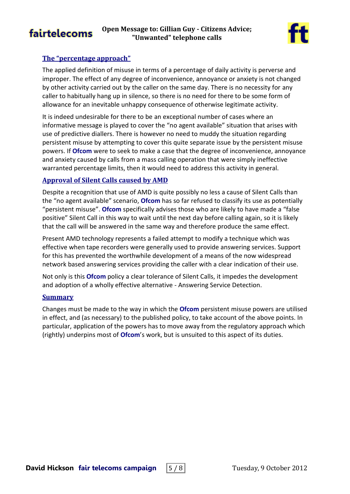

### **The "percentage approach"**

The applied definition of misuse in terms of a percentage of daily activity is perverse and improper. The effect of any degree of inconvenience, annoyance or anxiety is not changed by other activity carried out by the caller on the same day. There is no necessity for any caller to habitually hang up in silence, so there is no need for there to be some form of allowance for an inevitable unhappy consequence of otherwise legitimate activity.

It is indeed undesirable for there to be an exceptional number of cases where an informative message is played to cover the "no agent available" situation that arises with use of predictive diallers. There is however no need to muddy the situation regarding persistent misuse by attempting to cover this quite separate issue by the persistent misuse powers. If **Ofcom** were to seek to make a case that the degree of inconvenience, annoyance and anxiety caused by calls from a mass calling operation that were simply ineffective warranted percentage limits, then it would need to address this activity in general.

## **Approval of Silent Calls caused by AMD**

Despite a recognition that use of AMD is quite possibly no less a cause of Silent Calls than the "no agent available" scenario, **Ofcom** has so far refused to classify its use as potentially "persistent misuse". **Ofcom** specifically advises those who are likely to have made a "false positive" Silent Call in this way to wait until the next day before calling again, so it is likely that the call will be answered in the same way and therefore produce the same effect.

Present AMD technology represents a failed attempt to modify a technique which was effective when tape recorders were generally used to provide answering services. Support for this has prevented the worthwhile development of a means of the now widespread network based answering services providing the caller with a clear indication of their use.

Not only is this **Ofcom** policy a clear tolerance of Silent Calls, it impedes the development and adoption of a wholly effective alternative - Answering Service Detection.

### **Summary**

Changes must be made to the way in which the **Ofcom** persistent misuse powers are utilised in effect, and (as necessary) to the published policy, to take account of the above points. In particular, application of the powers has to move away from the regulatory approach which (rightly) underpins most of **Ofcom**'s work, but is unsuited to this aspect of its duties.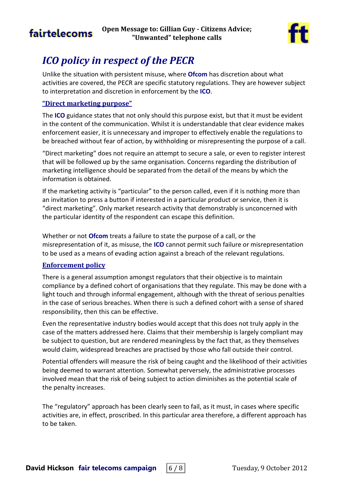

# <span id="page-5-0"></span>*ICO policy in respect of the PECR*

Unlike the situation with persistent misuse, where **Ofcom** has discretion about what activities are covered, the PECR are specific statutory regulations. They are however subject to interpretation and discretion in enforcement by the **ICO**.

### **"Direct marketing purpose"**

The **ICO** guidance states that not only should this purpose exist, but that it must be evident in the content of the communication. Whilst it is understandable that clear evidence makes enforcement easier, it is unnecessary and improper to effectively enable the regulations to be breached without fear of action, by withholding or misrepresenting the purpose of a call.

"Direct marketing" does not require an attempt to secure a sale, or even to register interest that will be followed up by the same organisation. Concerns regarding the distribution of marketing intelligence should be separated from the detail of the means by which the information is obtained.

If the marketing activity is "particular" to the person called, even if it is nothing more than an invitation to press a button if interested in a particular product or service, then it is "direct marketing". Only market research activity that demonstrably is unconcerned with the particular identity of the respondent can escape this definition.

Whether or not **Ofcom** treats a failure to state the purpose of a call, or the misrepresentation of it, as misuse, the **ICO** cannot permit such failure or misrepresentation to be used as a means of evading action against a breach of the relevant regulations.

### **Enforcement policy**

There is a general assumption amongst regulators that their objective is to maintain compliance by a defined cohort of organisations that they regulate. This may be done with a light touch and through informal engagement, although with the threat of serious penalties in the case of serious breaches. When there is such a defined cohort with a sense of shared responsibility, then this can be effective.

Even the representative industry bodies would accept that this does not truly apply in the case of the matters addressed here. Claims that their membership is largely compliant may be subject to question, but are rendered meaningless by the fact that, as they themselves would claim, widespread breaches are practised by those who fall outside their control.

Potential offenders will measure the risk of being caught and the likelihood of their activities being deemed to warrant attention. Somewhat perversely, the administrative processes involved mean that the risk of being subject to action diminishes as the potential scale of the penalty increases.

The "regulatory" approach has been clearly seen to fail, as it must, in cases where specific activities are, in effect, proscribed. In this particular area therefore, a different approach has to be taken.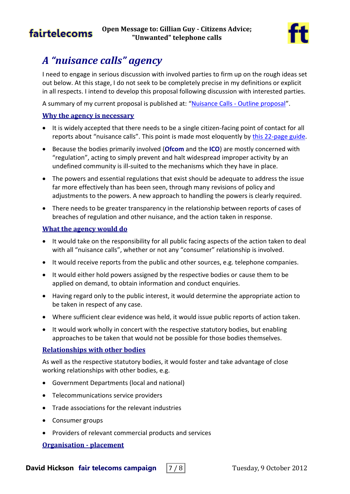

# <span id="page-6-0"></span>*A "nuisance calls" agency*

I need to engage in serious discussion with involved parties to firm up on the rough ideas set out below. At this stage, I do not seek to be completely precise in my definitions or explicit in all respects. I intend to develop this proposal following discussion with interested parties.

A summary of my current proposal is published at: "Nuisance Calls - [Outline proposal](http://www.fairtelecoms.org.uk/uploads/1/1/4/5/11456053/nuisance_calls_-_outline_proposal.pdf)".

### **Why the agency is necessary**

- It is widely accepted that there needs to be a single citizen-facing point of contact for all reports about "nuisance calls". This point is made most eloquently by [this 22-page guide.](http://consumers.ofcom.org.uk/files/2012/09/all-guides-small.pdf)
- Because the bodies primarily involved (**Ofcom** and the **ICO**) are mostly concerned with "regulation", acting to simply prevent and halt widespread improper activity by an undefined community is ill-suited to the mechanisms which they have in place.
- The powers and essential regulations that exist should be adequate to address the issue far more effectively than has been seen, through many revisions of policy and adjustments to the powers. A new approach to handling the powers is clearly required.
- There needs to be greater transparency in the relationship between reports of cases of breaches of regulation and other nuisance, and the action taken in response.

### **What the agency would do**

- It would take on the responsibility for all public facing aspects of the action taken to deal with all "nuisance calls", whether or not any "consumer" relationship is involved.
- It would receive reports from the public and other sources, e.g. telephone companies.
- It would either hold powers assigned by the respective bodies or cause them to be applied on demand, to obtain information and conduct enquiries.
- Having regard only to the public interest, it would determine the appropriate action to be taken in respect of any case.
- Where sufficient clear evidence was held, it would issue public reports of action taken.
- It would work wholly in concert with the respective statutory bodies, but enabling approaches to be taken that would not be possible for those bodies themselves.

### **Relationships with other bodies**

As well as the respective statutory bodies, it would foster and take advantage of close working relationships with other bodies, e.g.

- Government Departments (local and national)
- Telecommunications service providers
- Trade associations for the relevant industries
- Consumer groups
- Providers of relevant commercial products and services

### **Organisation - placement**